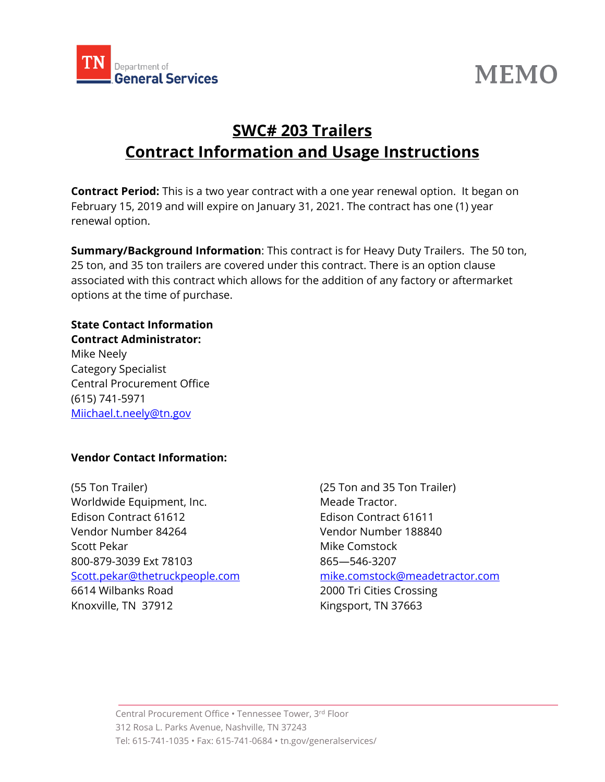

# **MEMO**

# **SWC# 203 Trailers Contract Information and Usage Instructions**

**Contract Period:** This is a two year contract with a one year renewal option. It began on February 15, 2019 and will expire on January 31, 2021. The contract has one (1) year renewal option.

**Summary/Background Information**: This contract is for Heavy Duty Trailers. The 50 ton, 25 ton, and 35 ton trailers are covered under this contract. There is an option clause associated with this contract which allows for the addition of any factory or aftermarket options at the time of purchase.

#### **State Contact Information Contract Administrator:**

Mike Neely Category Specialist Central Procurement Office (615) 741-5971 [Miichael.t.neely@tn.gov](mailto:Miichael.t.neely@tn.gov)

## **Vendor Contact Information:**

(55 Ton Trailer) (25 Ton and 35 Ton Trailer) Worldwide Equipment, Inc. Meade Tractor. Edison Contract 61612 Edison Contract 61611 Vendor Number 84264 Vendor Number 188840 Scott Pekar Mike Comstock 800-879-3039 Ext 78103 865—546-3207 [Scott.pekar@thetruckpeople.com](mailto:Scott.pekar@thetruckpeople.com) [mike.comstock@meadetractor.com](mailto:mike.comstock@meadetractor.com) 6614 Wilbanks Road 2000 Tri Cities Crossing Knoxville, TN 37912 Kingsport, TN 37663